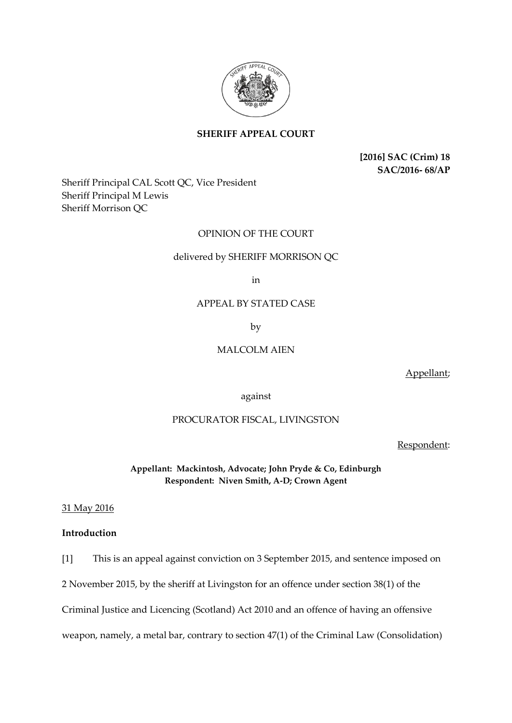

# **SHERIFF APPEAL COURT**

**[2016] SAC (Crim) 18 SAC/2016- 68/AP**

Sheriff Principal CAL Scott QC, Vice President Sheriff Principal M Lewis Sheriff Morrison QC

### OPINION OF THE COURT

### delivered by SHERIFF MORRISON QC

in

# APPEAL BY STATED CASE

by

### MALCOLM AIEN

Appellant;

against

## PROCURATOR FISCAL, LIVINGSTON

Respondent:

**Appellant: Mackintosh, Advocate; John Pryde & Co, Edinburgh Respondent: Niven Smith, A-D; Crown Agent**

#### 31 May 2016

## **Introduction**

[1] This is an appeal against conviction on 3 September 2015, and sentence imposed on

2 November 2015, by the sheriff at Livingston for an offence under section 38(1) of the

Criminal Justice and Licencing (Scotland) Act 2010 and an offence of having an offensive

weapon, namely, a metal bar, contrary to section 47(1) of the Criminal Law (Consolidation)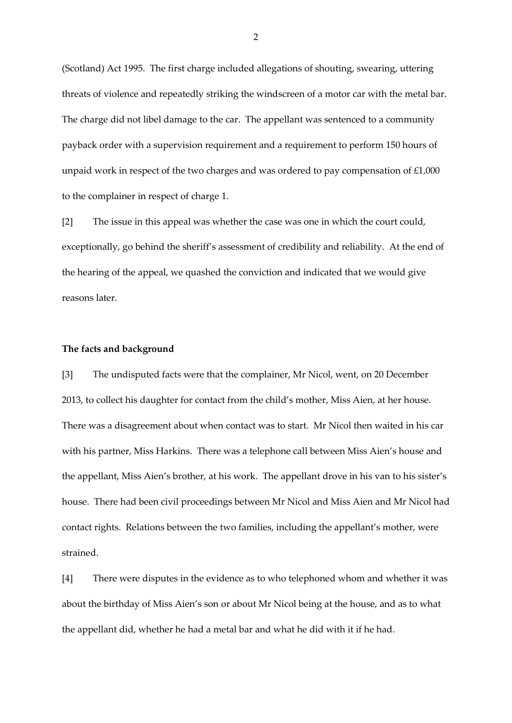(Scotland) Act 1995. The first charge included allegations of shouting, swearing, uttering threats of violence and repeatedly striking the windscreen of a motor car with the metal bar. The charge did not libel damage to the car. The appellant was sentenced to a community payback order with a supervision requirement and a requirement to perform 150 hours of unpaid work in respect of the two charges and was ordered to pay compensation of £1,000 to the complainer in respect of charge 1.

[2] The issue in this appeal was whether the case was one in which the court could, exceptionally, go behind the sheriff's assessment of credibility and reliability. At the end of the hearing of the appeal, we quashed the conviction and indicated that we would give reasons later.

#### **The facts and background**

[3] The undisputed facts were that the complainer, Mr Nicol, went, on 20 December 2013, to collect his daughter for contact from the child's mother, Miss Aien, at her house. There was a disagreement about when contact was to start. Mr Nicol then waited in his car with his partner, Miss Harkins. There was a telephone call between Miss Aien's house and the appellant, Miss Aien's brother, at his work. The appellant drove in his van to his sister's house. There had been civil proceedings between Mr Nicol and Miss Aien and Mr Nicol had contact rights. Relations between the two families, including the appellant's mother, were strained.

[4] There were disputes in the evidence as to who telephoned whom and whether it was about the birthday of Miss Aien's son or about Mr Nicol being at the house, and as to what the appellant did, whether he had a metal bar and what he did with it if he had.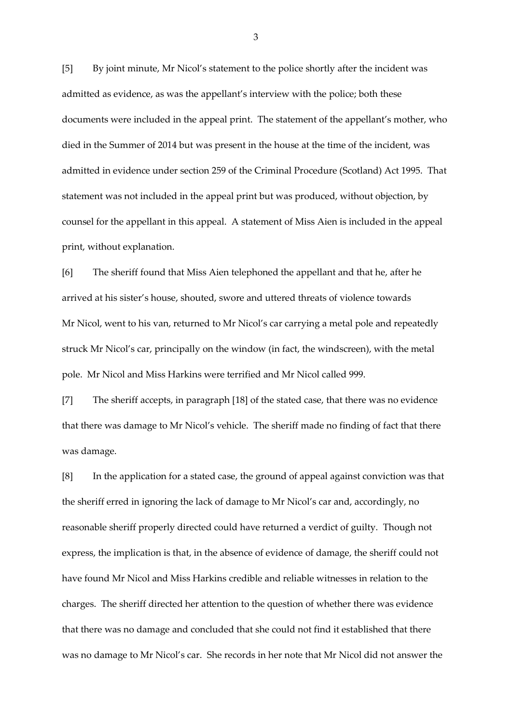[5] By joint minute, Mr Nicol's statement to the police shortly after the incident was admitted as evidence, as was the appellant's interview with the police; both these documents were included in the appeal print. The statement of the appellant's mother, who died in the Summer of 2014 but was present in the house at the time of the incident, was admitted in evidence under section 259 of the Criminal Procedure (Scotland) Act 1995. That statement was not included in the appeal print but was produced, without objection, by counsel for the appellant in this appeal. A statement of Miss Aien is included in the appeal print, without explanation.

[6] The sheriff found that Miss Aien telephoned the appellant and that he, after he arrived at his sister's house, shouted, swore and uttered threats of violence towards Mr Nicol, went to his van, returned to Mr Nicol's car carrying a metal pole and repeatedly struck Mr Nicol's car, principally on the window (in fact, the windscreen), with the metal pole. Mr Nicol and Miss Harkins were terrified and Mr Nicol called 999.

[7] The sheriff accepts, in paragraph [18] of the stated case, that there was no evidence that there was damage to Mr Nicol's vehicle. The sheriff made no finding of fact that there was damage.

[8] In the application for a stated case, the ground of appeal against conviction was that the sheriff erred in ignoring the lack of damage to Mr Nicol's car and, accordingly, no reasonable sheriff properly directed could have returned a verdict of guilty. Though not express, the implication is that, in the absence of evidence of damage, the sheriff could not have found Mr Nicol and Miss Harkins credible and reliable witnesses in relation to the charges. The sheriff directed her attention to the question of whether there was evidence that there was no damage and concluded that she could not find it established that there was no damage to Mr Nicol's car. She records in her note that Mr Nicol did not answer the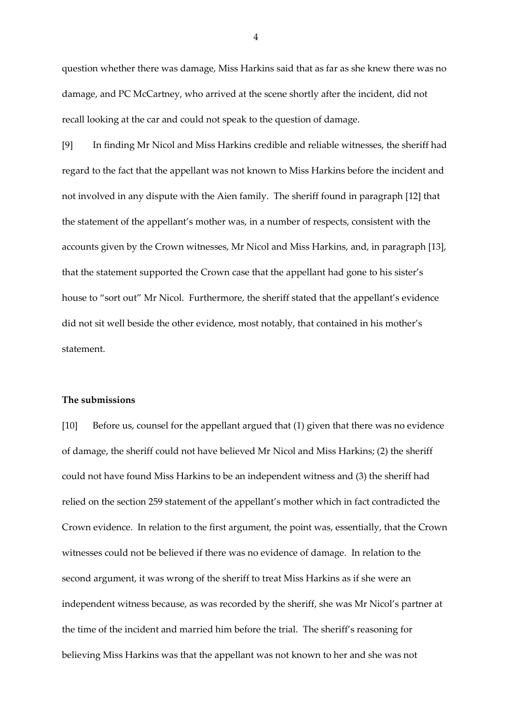question whether there was damage, Miss Harkins said that as far as she knew there was no damage, and PC McCartney, who arrived at the scene shortly after the incident, did not recall looking at the car and could not speak to the question of damage.

[9] In finding Mr Nicol and Miss Harkins credible and reliable witnesses, the sheriff had regard to the fact that the appellant was not known to Miss Harkins before the incident and not involved in any dispute with the Aien family. The sheriff found in paragraph [12] that the statement of the appellant's mother was, in a number of respects, consistent with the accounts given by the Crown witnesses, Mr Nicol and Miss Harkins, and, in paragraph [13], that the statement supported the Crown case that the appellant had gone to his sister's house to "sort out" Mr Nicol. Furthermore, the sheriff stated that the appellant's evidence did not sit well beside the other evidence, most notably, that contained in his mother's statement.

### **The submissions**

[10] Before us, counsel for the appellant argued that (1) given that there was no evidence of damage, the sheriff could not have believed Mr Nicol and Miss Harkins; (2) the sheriff could not have found Miss Harkins to be an independent witness and (3) the sheriff had relied on the section 259 statement of the appellant's mother which in fact contradicted the Crown evidence. In relation to the first argument, the point was, essentially, that the Crown witnesses could not be believed if there was no evidence of damage. In relation to the second argument, it was wrong of the sheriff to treat Miss Harkins as if she were an independent witness because, as was recorded by the sheriff, she was Mr Nicol's partner at the time of the incident and married him before the trial. The sheriff's reasoning for believing Miss Harkins was that the appellant was not known to her and she was not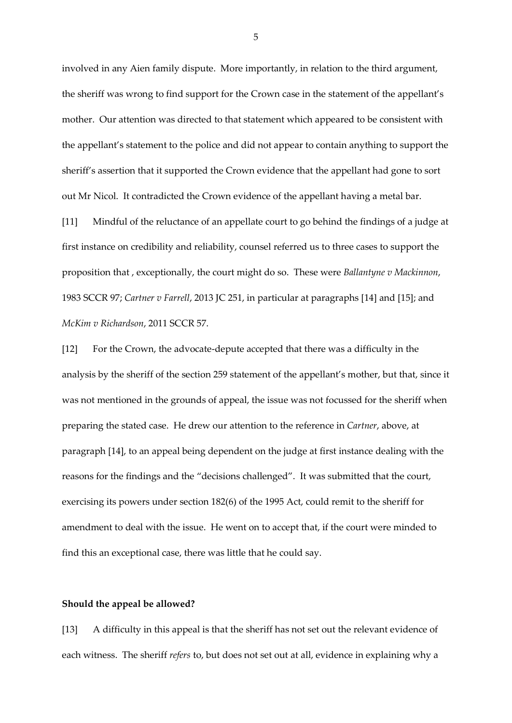involved in any Aien family dispute. More importantly, in relation to the third argument, the sheriff was wrong to find support for the Crown case in the statement of the appellant's mother. Our attention was directed to that statement which appeared to be consistent with the appellant's statement to the police and did not appear to contain anything to support the sheriff's assertion that it supported the Crown evidence that the appellant had gone to sort out Mr Nicol. It contradicted the Crown evidence of the appellant having a metal bar.

[11] Mindful of the reluctance of an appellate court to go behind the findings of a judge at first instance on credibility and reliability, counsel referred us to three cases to support the proposition that , exceptionally, the court might do so. These were *Ballantyne v Mackinnon*, 1983 SCCR 97; *Cartner v Farrell*, 2013 JC 251, in particular at paragraphs [14] and [15]; and *McKim v Richardson*, 2011 SCCR 57.

[12] For the Crown, the advocate-depute accepted that there was a difficulty in the analysis by the sheriff of the section 259 statement of the appellant's mother, but that, since it was not mentioned in the grounds of appeal, the issue was not focussed for the sheriff when preparing the stated case. He drew our attention to the reference in *Cartner*, above, at paragraph [14], to an appeal being dependent on the judge at first instance dealing with the reasons for the findings and the "decisions challenged". It was submitted that the court, exercising its powers under section 182(6) of the 1995 Act, could remit to the sheriff for amendment to deal with the issue. He went on to accept that, if the court were minded to find this an exceptional case, there was little that he could say.

#### **Should the appeal be allowed?**

[13] A difficulty in this appeal is that the sheriff has not set out the relevant evidence of each witness. The sheriff *refers* to, but does not set out at all, evidence in explaining why a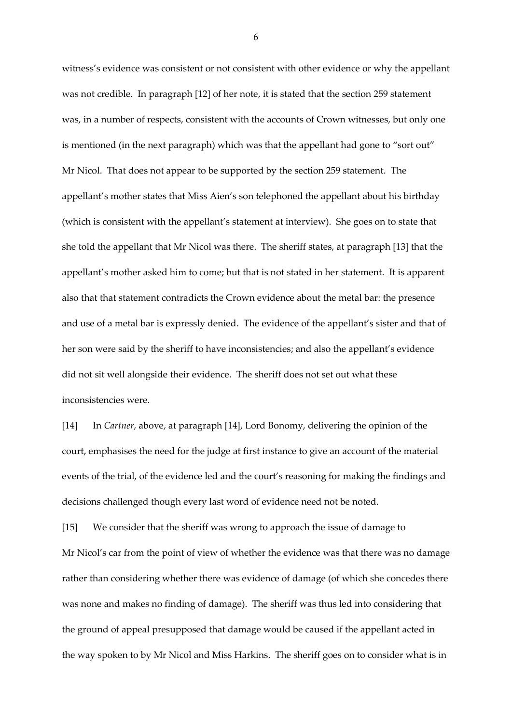witness's evidence was consistent or not consistent with other evidence or why the appellant was not credible. In paragraph [12] of her note, it is stated that the section 259 statement was, in a number of respects, consistent with the accounts of Crown witnesses, but only one is mentioned (in the next paragraph) which was that the appellant had gone to "sort out" Mr Nicol. That does not appear to be supported by the section 259 statement. The appellant's mother states that Miss Aien's son telephoned the appellant about his birthday (which is consistent with the appellant's statement at interview). She goes on to state that she told the appellant that Mr Nicol was there. The sheriff states, at paragraph [13] that the appellant's mother asked him to come; but that is not stated in her statement. It is apparent also that that statement contradicts the Crown evidence about the metal bar: the presence and use of a metal bar is expressly denied. The evidence of the appellant's sister and that of her son were said by the sheriff to have inconsistencies; and also the appellant's evidence did not sit well alongside their evidence. The sheriff does not set out what these inconsistencies were.

[14] In *Cartner*, above, at paragraph [14], Lord Bonomy, delivering the opinion of the court, emphasises the need for the judge at first instance to give an account of the material events of the trial, of the evidence led and the court's reasoning for making the findings and decisions challenged though every last word of evidence need not be noted.

[15] We consider that the sheriff was wrong to approach the issue of damage to Mr Nicol's car from the point of view of whether the evidence was that there was no damage rather than considering whether there was evidence of damage (of which she concedes there was none and makes no finding of damage). The sheriff was thus led into considering that the ground of appeal presupposed that damage would be caused if the appellant acted in the way spoken to by Mr Nicol and Miss Harkins. The sheriff goes on to consider what is in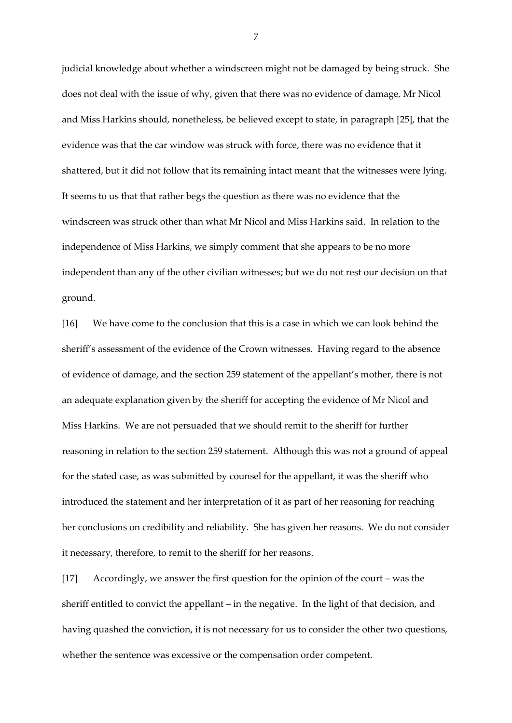judicial knowledge about whether a windscreen might not be damaged by being struck. She does not deal with the issue of why, given that there was no evidence of damage, Mr Nicol and Miss Harkins should, nonetheless, be believed except to state, in paragraph [25], that the evidence was that the car window was struck with force, there was no evidence that it shattered, but it did not follow that its remaining intact meant that the witnesses were lying. It seems to us that that rather begs the question as there was no evidence that the windscreen was struck other than what Mr Nicol and Miss Harkins said. In relation to the independence of Miss Harkins, we simply comment that she appears to be no more independent than any of the other civilian witnesses; but we do not rest our decision on that ground.

[16] We have come to the conclusion that this is a case in which we can look behind the sheriff's assessment of the evidence of the Crown witnesses. Having regard to the absence of evidence of damage, and the section 259 statement of the appellant's mother, there is not an adequate explanation given by the sheriff for accepting the evidence of Mr Nicol and Miss Harkins. We are not persuaded that we should remit to the sheriff for further reasoning in relation to the section 259 statement. Although this was not a ground of appeal for the stated case, as was submitted by counsel for the appellant, it was the sheriff who introduced the statement and her interpretation of it as part of her reasoning for reaching her conclusions on credibility and reliability. She has given her reasons. We do not consider it necessary, therefore, to remit to the sheriff for her reasons.

[17] Accordingly, we answer the first question for the opinion of the court – was the sheriff entitled to convict the appellant – in the negative. In the light of that decision, and having quashed the conviction, it is not necessary for us to consider the other two questions, whether the sentence was excessive or the compensation order competent.